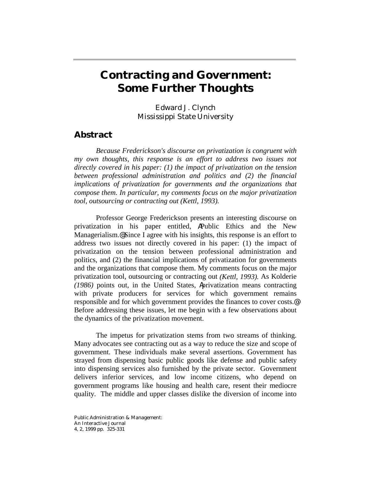# **Contracting and Government: Some Further Thoughts**

Edward J. Clynch Mississippi State University

## **Abstract**

*Because Frederickson's discourse on privatization is congruent with my own thoughts, this response is an effort to address two issues not directly covered in his paper: (1) the impact of privatization on the tension between professional administration and politics and (2) the financial implications of privatization for governments and the organizations that compose them. In particular, my comments focus on the major privatization tool, outsourcing or contracting out (Kettl, 1993).* 

Professor George Frederickson presents an interesting discourse on privatization in his paper entitled, APublic Ethics and the New Managerialism.@ Since I agree with his insights, this response is an effort to address two issues not directly covered in his paper: (1) the impact of privatization on the tension between professional administration and politics, and (2) the financial implications of privatization for governments and the organizations that compose them. My comments focus on the major privatization tool, outsourcing or contracting out *(Kettl, 1993).* As Kolderie *(1986)* points out, in the United States, Aprivatization means contracting with private producers for services for which government remains responsible and for which government provides the finances to cover costs.@ Before addressing these issues, let me begin with a few observations about the dynamics of the privatization movement.

The impetus for privatization stems from two streams of thinking. Many advocates see contracting out as a way to reduce the size and scope of government. These individuals make several assertions. Government has strayed from dispensing basic public goods like defense and public safety into dispensing services also furnished by the private sector. Government delivers inferior services, and low income citizens, who depend on government programs like housing and health care, resent their mediocre quality. The middle and upper classes dislike the diversion of income into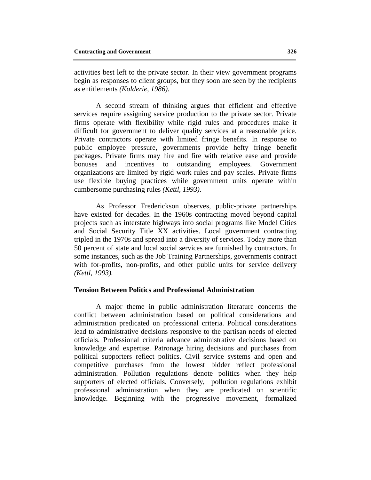activities best left to the private sector. In their view government programs begin as responses to client groups, but they soon are seen by the recipients as entitlements *(Kolderie, 1986)*.

A second stream of thinking argues that efficient and effective services require assigning service production to the private sector. Private firms operate with flexibility while rigid rules and procedures make it difficult for government to deliver quality services at a reasonable price. Private contractors operate with limited fringe benefits. In response to public employee pressure, governments provide hefty fringe benefit packages. Private firms may hire and fire with relative ease and provide bonuses and incentives to outstanding employees. Government organizations are limited by rigid work rules and pay scales. Private firms use flexible buying practices while government units operate within cumbersome purchasing rules *(Kettl, 1993)*.

As Professor Frederickson observes, public-private partnerships have existed for decades. In the 1960s contracting moved beyond capital projects such as interstate highways into social programs like Model Cities and Social Security Title XX activities. Local government contracting tripled in the 1970s and spread into a diversity of services. Today more than 50 percent of state and local social services are furnished by contractors. In some instances, such as the Job Training Partnerships, governments contract with for-profits, non-profits, and other public units for service delivery *(Kettl, 1993).*

#### **Tension Between Politics and Professional Administration**

 A major theme in public administration literature concerns the conflict between administration based on political considerations and administration predicated on professional criteria. Political considerations lead to administrative decisions responsive to the partisan needs of elected officials. Professional criteria advance administrative decisions based on knowledge and expertise. Patronage hiring decisions and purchases from political supporters reflect politics. Civil service systems and open and competitive purchases from the lowest bidder reflect professional administration. Pollution regulations denote politics when they help supporters of elected officials. Conversely, pollution regulations exhibit professional administration when they are predicated on scientific knowledge. Beginning with the progressive movement, formalized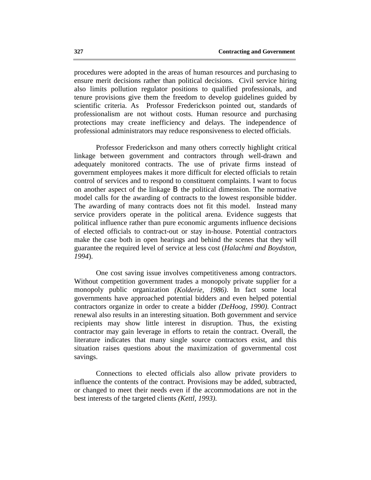procedures were adopted in the areas of human resources and purchasing to ensure merit decisions rather than political decisions. Civil service hiring also limits pollution regulator positions to qualified professionals, and tenure provisions give them the freedom to develop guidelines guided by scientific criteria. As Professor Frederickson pointed out, standards of professionalism are not without costs. Human resource and purchasing protections may create inefficiency and delays. The independence of professional administrators may reduce responsiveness to elected officials.

Professor Frederickson and many others correctly highlight critical linkage between government and contractors through well-drawn and adequately monitored contracts. The use of private firms instead of government employees makes it more difficult for elected officials to retain control of services and to respond to constituent complaints. I want to focus on another aspect of the linkage B the political dimension. The normative model calls for the awarding of contracts to the lowest responsible bidder. The awarding of many contracts does not fit this model. Instead many service providers operate in the political arena. Evidence suggests that political influence rather than pure economic arguments influence decisions of elected officials to contract-out or stay in-house. Potential contractors make the case both in open hearings and behind the scenes that they will guarantee the required level of service at less cost (*Halachmi and Boydston, 1994*).

One cost saving issue involves competitiveness among contractors. Without competition government trades a monopoly private supplier for a monopoly public organization *(Kolderie, 1986)*. In fact some local governments have approached potential bidders and even helped potential contractors organize in order to create a bidder *(DeHoog, 1990)*. Contract renewal also results in an interesting situation. Both government and service recipients may show little interest in disruption. Thus, the existing contractor may gain leverage in efforts to retain the contract. Overall, the literature indicates that many single source contractors exist, and this situation raises questions about the maximization of governmental cost savings.

Connections to elected officials also allow private providers to influence the contents of the contract. Provisions may be added, subtracted, or changed to meet their needs even if the accommodations are not in the best interests of the targeted clients *(Kettl, 1993)*.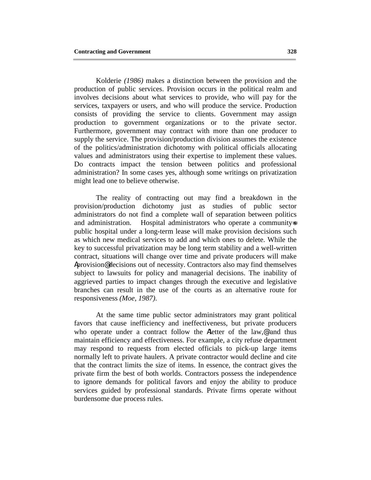Kolderie *(1986)* makes a distinction between the provision and the production of public services. Provision occurs in the political realm and involves decisions about what services to provide, who will pay for the services, taxpayers or users, and who will produce the service. Production consists of providing the service to clients. Government may assign production to government organizations or to the private sector. Furthermore, government may contract with more than one producer to supply the service. The provision/production division assumes the existence of the politics/administration dichotomy with political officials allocating values and administrators using their expertise to implement these values. Do contracts impact the tension between politics and professional administration? In some cases yes, although some writings on privatization might lead one to believe otherwise.

The reality of contracting out may find a breakdown in the provision/production dichotomy just as studies of public sector administrators do not find a complete wall of separation between politics and administration. Hospital administrators who operate a community-s public hospital under a long-term lease will make provision decisions such as which new medical services to add and which ones to delete. While the key to successful privatization may be long term stability and a well-written contract, situations will change over time and private producers will make Aprovision@ decisions out of necessity. Contractors also may find themselves subject to lawsuits for policy and managerial decisions. The inability of aggrieved parties to impact changes through the executive and legislative branches can result in the use of the courts as an alternative route for responsiveness *(Moe, 1987)*.

At the same time public sector administrators may grant political favors that cause inefficiency and ineffectiveness, but private producers who operate under a contract follow the Aletter of the law,<sup>®</sup> and thus maintain efficiency and effectiveness. For example, a city refuse department may respond to requests from elected officials to pick-up large items normally left to private haulers. A private contractor would decline and cite that the contract limits the size of items. In essence, the contract gives the private firm the best of both worlds. Contractors possess the independence to ignore demands for political favors and enjoy the ability to produce services guided by professional standards. Private firms operate without burdensome due process rules.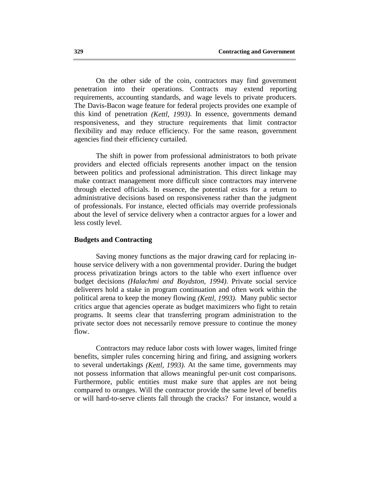On the other side of the coin, contractors may find government penetration into their operations. Contracts may extend reporting requirements, accounting standards, and wage levels to private producers. The Davis-Bacon wage feature for federal projects provides one example of this kind of penetration *(Kettl, 1993)*. In essence, governments demand responsiveness, and they structure requirements that limit contractor flexibility and may reduce efficiency. For the same reason, government agencies find their efficiency curtailed.

The shift in power from professional administrators to both private providers and elected officials represents another impact on the tension between politics and professional administration. This direct linkage may make contract management more difficult since contractors may intervene through elected officials. In essence, the potential exists for a return to administrative decisions based on responsiveness rather than the judgment of professionals. For instance, elected officials may override professionals about the level of service delivery when a contractor argues for a lower and less costly level.

#### **Budgets and Contracting**

Saving money functions as the major drawing card for replacing inhouse service delivery with a non governmental provider. During the budget process privatization brings actors to the table who exert influence over budget decisions *(Halachmi and Boydston, 1994)*. Private social service deliverers hold a stake in program continuation and often work within the political arena to keep the money flowing *(Kettl, 1993)*. Many public sector critics argue that agencies operate as budget maximizers who fight to retain programs. It seems clear that transferring program administration to the private sector does not necessarily remove pressure to continue the money flow.

Contractors may reduce labor costs with lower wages, limited fringe benefits, simpler rules concerning hiring and firing, and assigning workers to several undertakings *(Kettl, 1993)*. At the same time, governments may not possess information that allows meaningful per-unit cost comparisons. Furthermore, public entities must make sure that apples are not being compared to oranges. Will the contractor provide the same level of benefits or will hard-to-serve clients fall through the cracks? For instance, would a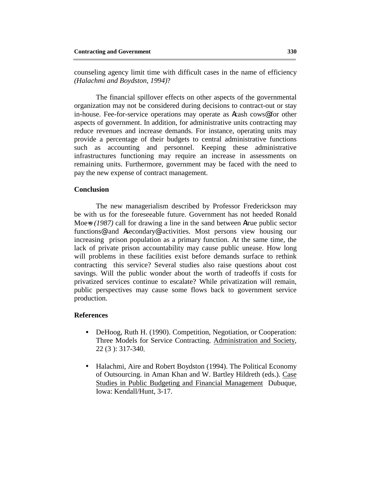counseling agency limit time with difficult cases in the name of efficiency *(Halachmi and Boydston, 1994)*?

The financial spillover effects on other aspects of the governmental organization may not be considered during decisions to contract-out or stay in-house. Fee-for-service operations may operate as Acash cows@ for other aspects of government. In addition, for administrative units contracting may reduce revenues and increase demands. For instance, operating units may provide a percentage of their budgets to central administrative functions such as accounting and personnel. Keeping these administrative infrastructures functioning may require an increase in assessments on remaining units. Furthermore, government may be faced with the need to pay the new expense of contract management.

### **Conclusion**

The new managerialism described by Professor Frederickson may be with us for the foreseeable future. Government has not heeded Ronald Moe-s (1987) call for drawing a line in the sand between Atrue public sector functions@ and Asecondary@ activities. Most persons view housing our increasing prison population as a primary function. At the same time, the lack of private prison accountability may cause public unease. How long will problems in these facilities exist before demands surface to rethink contracting this service? Several studies also raise questions about cost savings. Will the public wonder about the worth of tradeoffs if costs for privatized services continue to escalate? While privatization will remain, public perspectives may cause some flows back to government service production.

### **References**

- DeHoog, Ruth H. (1990). Competition, Negotiation, or Cooperation: Three Models for Service Contracting. Administration and Society, 22 (3 ): 317-340*.*
- Halachmi, Aire and Robert Boydston (1994). The Political Economy of Outsourcing. in Aman Khan and W. Bartley Hildreth (eds.). Case Studies in Public Budgeting and Financial Management Dubuque, Iowa: Kendall/Hunt, 3-17.